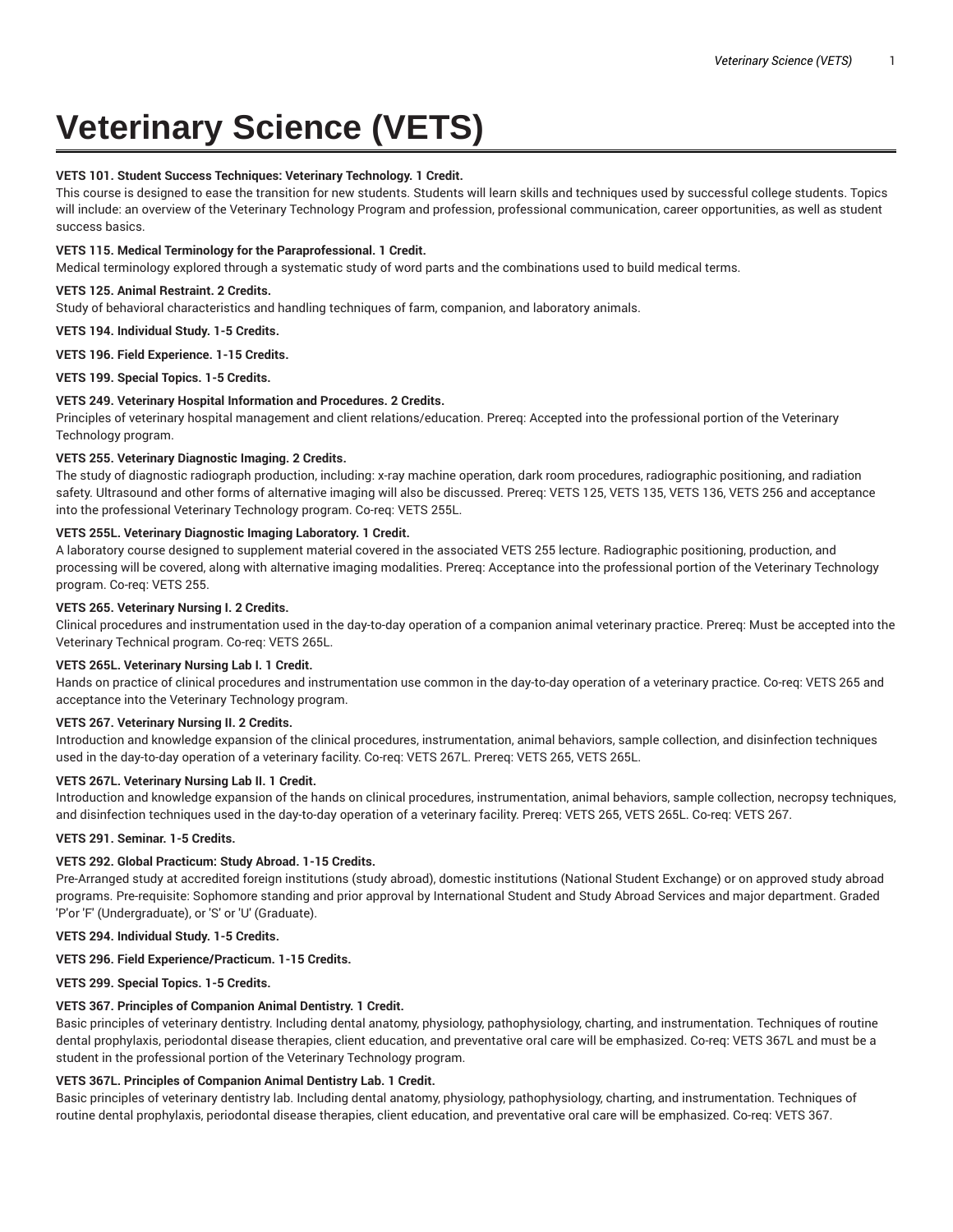# **Veterinary Science (VETS)**

## **VETS 101. Student Success Techniques: Veterinary Technology. 1 Credit.**

This course is designed to ease the transition for new students. Students will learn skills and techniques used by successful college students. Topics will include: an overview of the Veterinary Technology Program and profession, professional communication, career opportunities, as well as student success basics.

## **VETS 115. Medical Terminology for the Paraprofessional. 1 Credit.**

Medical terminology explored through a systematic study of word parts and the combinations used to build medical terms.

#### **VETS 125. Animal Restraint. 2 Credits.**

Study of behavioral characteristics and handling techniques of farm, companion, and laboratory animals.

**VETS 194. Individual Study. 1-5 Credits.**

**VETS 196. Field Experience. 1-15 Credits.**

**VETS 199. Special Topics. 1-5 Credits.**

#### **VETS 249. Veterinary Hospital Information and Procedures. 2 Credits.**

Principles of veterinary hospital management and client relations/education. Prereq: Accepted into the professional portion of the Veterinary Technology program.

#### **VETS 255. Veterinary Diagnostic Imaging. 2 Credits.**

The study of diagnostic radiograph production, including: x-ray machine operation, dark room procedures, radiographic positioning, and radiation safety. Ultrasound and other forms of alternative imaging will also be discussed. Prereq: VETS 125, VETS 135, VETS 136, VETS 256 and acceptance into the professional Veterinary Technology program. Co-req: VETS 255L.

## **VETS 255L. Veterinary Diagnostic Imaging Laboratory. 1 Credit.**

A laboratory course designed to supplement material covered in the associated VETS 255 lecture. Radiographic positioning, production, and processing will be covered, along with alternative imaging modalities. Prereq: Acceptance into the professional portion of the Veterinary Technology program. Co-req: VETS 255.

## **VETS 265. Veterinary Nursing I. 2 Credits.**

Clinical procedures and instrumentation used in the day-to-day operation of a companion animal veterinary practice. Prereq: Must be accepted into the Veterinary Technical program. Co-req: VETS 265L.

# **VETS 265L. Veterinary Nursing Lab I. 1 Credit.**

Hands on practice of clinical procedures and instrumentation use common in the day-to-day operation of a veterinary practice. Co-req: VETS 265 and acceptance into the Veterinary Technology program.

## **VETS 267. Veterinary Nursing II. 2 Credits.**

Introduction and knowledge expansion of the clinical procedures, instrumentation, animal behaviors, sample collection, and disinfection techniques used in the day-to-day operation of a veterinary facility. Co-req: VETS 267L. Prereq: VETS 265, VETS 265L.

## **VETS 267L. Veterinary Nursing Lab II. 1 Credit.**

Introduction and knowledge expansion of the hands on clinical procedures, instrumentation, animal behaviors, sample collection, necropsy techniques, and disinfection techniques used in the day-to-day operation of a veterinary facility. Prereq: VETS 265, VETS 265L. Co-req: VETS 267.

**VETS 291. Seminar. 1-5 Credits.**

## **VETS 292. Global Practicum: Study Abroad. 1-15 Credits.**

Pre-Arranged study at accredited foreign institutions (study abroad), domestic institutions (National Student Exchange) or on approved study abroad programs. Pre-requisite: Sophomore standing and prior approval by International Student and Study Abroad Services and major department. Graded 'P'or 'F' (Undergraduate), or 'S' or 'U' (Graduate).

#### **VETS 294. Individual Study. 1-5 Credits.**

## **VETS 296. Field Experience/Practicum. 1-15 Credits.**

**VETS 299. Special Topics. 1-5 Credits.**

## **VETS 367. Principles of Companion Animal Dentistry. 1 Credit.**

Basic principles of veterinary dentistry. Including dental anatomy, physiology, pathophysiology, charting, and instrumentation. Techniques of routine dental prophylaxis, periodontal disease therapies, client education, and preventative oral care will be emphasized. Co-req: VETS 367L and must be a student in the professional portion of the Veterinary Technology program.

## **VETS 367L. Principles of Companion Animal Dentistry Lab. 1 Credit.**

Basic principles of veterinary dentistry lab. Including dental anatomy, physiology, pathophysiology, charting, and instrumentation. Techniques of routine dental prophylaxis, periodontal disease therapies, client education, and preventative oral care will be emphasized. Co-req: VETS 367.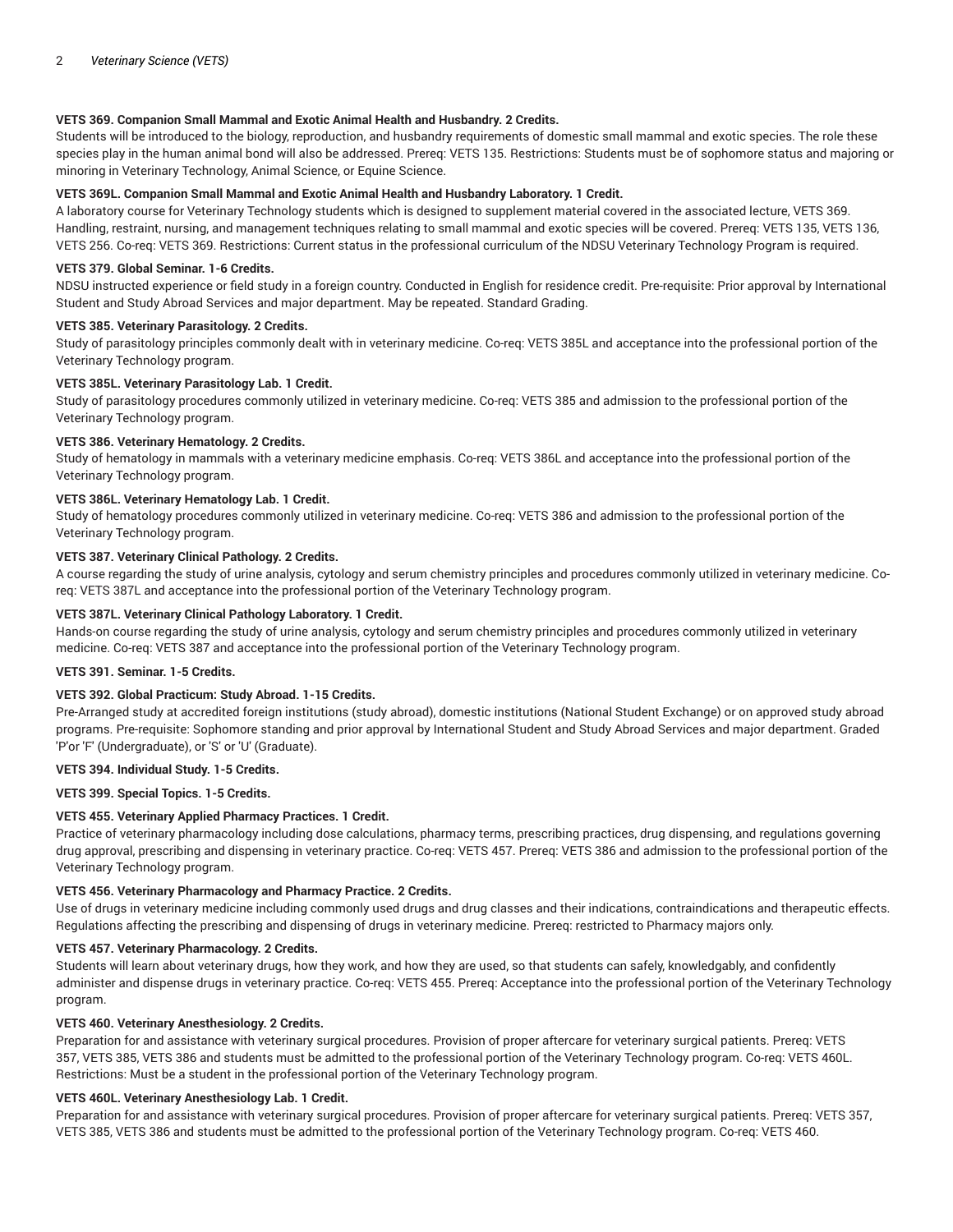## **VETS 369. Companion Small Mammal and Exotic Animal Health and Husbandry. 2 Credits.**

Students will be introduced to the biology, reproduction, and husbandry requirements of domestic small mammal and exotic species. The role these species play in the human animal bond will also be addressed. Prereq: VETS 135. Restrictions: Students must be of sophomore status and majoring or minoring in Veterinary Technology, Animal Science, or Equine Science.

#### **VETS 369L. Companion Small Mammal and Exotic Animal Health and Husbandry Laboratory. 1 Credit.**

A laboratory course for Veterinary Technology students which is designed to supplement material covered in the associated lecture, VETS 369. Handling, restraint, nursing, and management techniques relating to small mammal and exotic species will be covered. Prereq: VETS 135, VETS 136, VETS 256. Co-req: VETS 369. Restrictions: Current status in the professional curriculum of the NDSU Veterinary Technology Program is required.

#### **VETS 379. Global Seminar. 1-6 Credits.**

NDSU instructed experience or field study in a foreign country. Conducted in English for residence credit. Pre-requisite: Prior approval by International Student and Study Abroad Services and major department. May be repeated. Standard Grading.

#### **VETS 385. Veterinary Parasitology. 2 Credits.**

Study of parasitology principles commonly dealt with in veterinary medicine. Co-req: VETS 385L and acceptance into the professional portion of the Veterinary Technology program.

#### **VETS 385L. Veterinary Parasitology Lab. 1 Credit.**

Study of parasitology procedures commonly utilized in veterinary medicine. Co-req: VETS 385 and admission to the professional portion of the Veterinary Technology program.

#### **VETS 386. Veterinary Hematology. 2 Credits.**

Study of hematology in mammals with a veterinary medicine emphasis. Co-req: VETS 386L and acceptance into the professional portion of the Veterinary Technology program.

#### **VETS 386L. Veterinary Hematology Lab. 1 Credit.**

Study of hematology procedures commonly utilized in veterinary medicine. Co-req: VETS 386 and admission to the professional portion of the Veterinary Technology program.

#### **VETS 387. Veterinary Clinical Pathology. 2 Credits.**

A course regarding the study of urine analysis, cytology and serum chemistry principles and procedures commonly utilized in veterinary medicine. Coreq: VETS 387L and acceptance into the professional portion of the Veterinary Technology program.

## **VETS 387L. Veterinary Clinical Pathology Laboratory. 1 Credit.**

Hands-on course regarding the study of urine analysis, cytology and serum chemistry principles and procedures commonly utilized in veterinary medicine. Co-req: VETS 387 and acceptance into the professional portion of the Veterinary Technology program.

#### **VETS 391. Seminar. 1-5 Credits.**

#### **VETS 392. Global Practicum: Study Abroad. 1-15 Credits.**

Pre-Arranged study at accredited foreign institutions (study abroad), domestic institutions (National Student Exchange) or on approved study abroad programs. Pre-requisite: Sophomore standing and prior approval by International Student and Study Abroad Services and major department. Graded 'P'or 'F' (Undergraduate), or 'S' or 'U' (Graduate).

## **VETS 394. Individual Study. 1-5 Credits.**

**VETS 399. Special Topics. 1-5 Credits.**

#### **VETS 455. Veterinary Applied Pharmacy Practices. 1 Credit.**

Practice of veterinary pharmacology including dose calculations, pharmacy terms, prescribing practices, drug dispensing, and regulations governing drug approval, prescribing and dispensing in veterinary practice. Co-req: VETS 457. Prereq: VETS 386 and admission to the professional portion of the Veterinary Technology program.

## **VETS 456. Veterinary Pharmacology and Pharmacy Practice. 2 Credits.**

Use of drugs in veterinary medicine including commonly used drugs and drug classes and their indications, contraindications and therapeutic effects. Regulations affecting the prescribing and dispensing of drugs in veterinary medicine. Prereq: restricted to Pharmacy majors only.

#### **VETS 457. Veterinary Pharmacology. 2 Credits.**

Students will learn about veterinary drugs, how they work, and how they are used, so that students can safely, knowledgably, and confidently administer and dispense drugs in veterinary practice. Co-req: VETS 455. Prereq: Acceptance into the professional portion of the Veterinary Technology program.

#### **VETS 460. Veterinary Anesthesiology. 2 Credits.**

Preparation for and assistance with veterinary surgical procedures. Provision of proper aftercare for veterinary surgical patients. Prereq: VETS 357, VETS 385, VETS 386 and students must be admitted to the professional portion of the Veterinary Technology program. Co-req: VETS 460L. Restrictions: Must be a student in the professional portion of the Veterinary Technology program.

#### **VETS 460L. Veterinary Anesthesiology Lab. 1 Credit.**

Preparation for and assistance with veterinary surgical procedures. Provision of proper aftercare for veterinary surgical patients. Prereq: VETS 357, VETS 385, VETS 386 and students must be admitted to the professional portion of the Veterinary Technology program. Co-req: VETS 460.